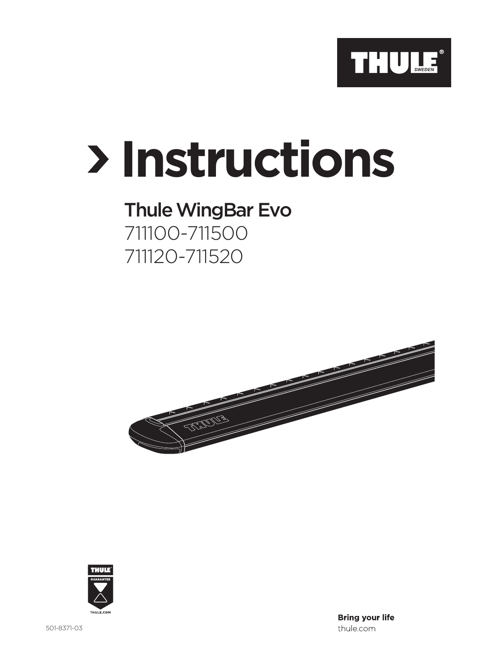

## **Instructions**

## Thule WingBar Evo 711100-711500 711120-711520





501-8371-03

**Bring your life** thule.com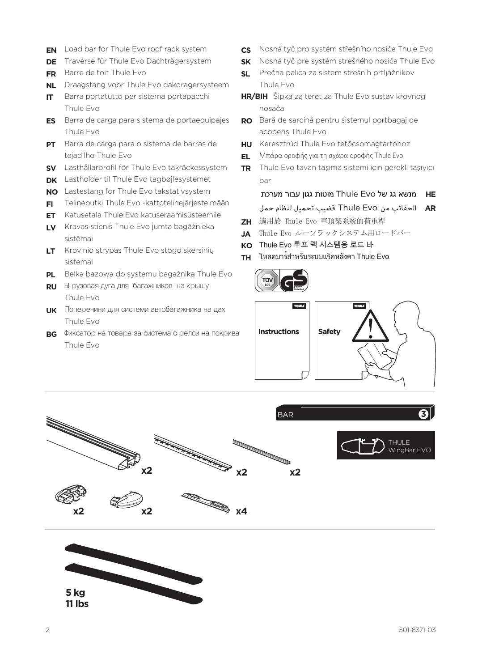- **EN** Load bar for Thule Evo roof rack system
- **DE** Traverse für Thule Evo Dachträgersystem
- **FR** Barre de toit Thule Evo
- **NL** Draagstang voor Thule Evo dakdragersysteem
- **IT** Barra portatutto per sistema portapacchi Thule Evo
- **ES** Barra de carga para sistema de portaequipajes Thule Evo
- **PT** Barra de carga para o sistema de barras de tejadilho Thule Evo
- **SV** Lasthållarprofil för Thule Evo takräckessystem
- **DK** Lastholder til Thule Evo tagbøjlesystemet
- **NO** Lastestang for Thule Evo takstativsystem
- **FI** Telineputki Thule Evo -kattotelinejärjestelmään
- **ET** Katusetala Thule Evo katuseraamisüsteemile
- **LV** Kravas stienis Thule Evo jumta bagāžnieka sistēmai
- **LT** Krovinio strypas Thule Evo stogo skersinių sistemai
- **PL** Belka bazowa do systemu bagażnika Thule Evo
- **RU** БГрузовая дуга для багажников на крышу Thule Evo
- **UK** Поперечини для системи автобагажника на дах Thule Evo
- **BG** Фиксатор на товара за система с релси на покрива Thule Evo
- **CS** Nosná tyč pro systém střešního nosiče Thule Evo
- **SK** Nosná tyč pre systém strešného nosiča Thule Evo
- **SL** Prečna palica za sistem strešnih prtljažnikov Thule Evo
- **HR/BIH** Šipka za teret za Thule Evo sustav krovnog nosača
- **RO** Bară de sarcină pentru sistemul portbagaj de acoperiș Thule Evo
- **HU** Keresztrúd Thule Evo tetőcsomagtartóhoz
- **EL** Μπάρα οροφής για τη σχάρα οροφής Thule Evo
- **TR** Thule Evo tavan taşıma sistemi için gerekli taşıyıcı bar

מוטות גגון עבור מערכת Thule Evo אג של HE

**AR** الحقائب من Thule Evo قضيب تحميل لنظام حمل

- **ZH** 適用於 Thule Evo 車頂架系統的荷重桿
- **JA** Thule Evo ルーフラックシステム用ロードバー
- **KO** Thule Evo 루프 랙 시스템용 로드 바
- **TH** โหลดบาร์สำ หรับระบบแร็คหลังคา Thule Evo







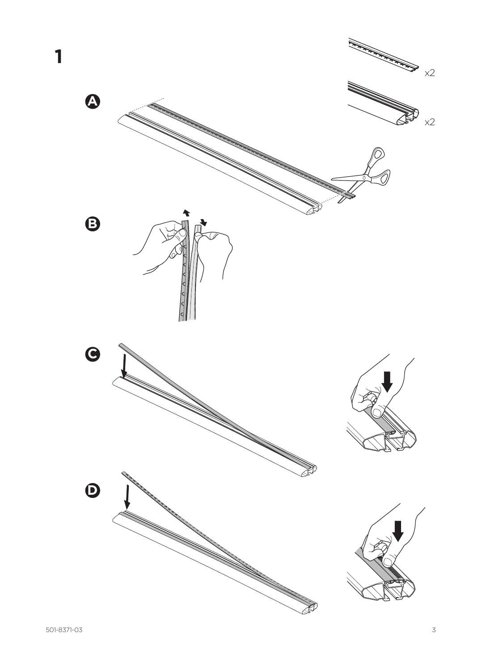